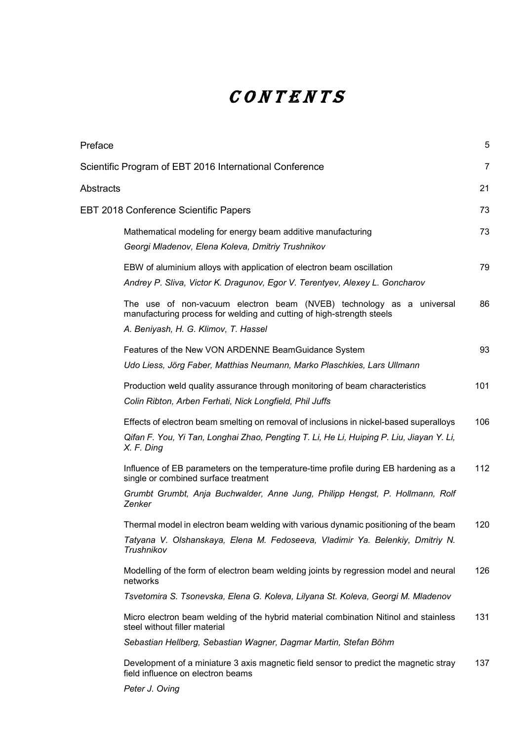## CONTENTS

| Preface   |                                                                                                                                                                                                                       | 5   |
|-----------|-----------------------------------------------------------------------------------------------------------------------------------------------------------------------------------------------------------------------|-----|
|           | Scientific Program of EBT 2016 International Conference                                                                                                                                                               | 7   |
| Abstracts |                                                                                                                                                                                                                       | 21  |
|           | <b>EBT 2018 Conference Scientific Papers</b>                                                                                                                                                                          | 73  |
|           | Mathematical modeling for energy beam additive manufacturing<br>Georgi Mladenov, Elena Koleva, Dmitriy Trushnikov                                                                                                     | 73  |
|           | EBW of aluminium alloys with application of electron beam oscillation<br>Andrey P. Sliva, Victor K. Dragunov, Egor V. Terentyev, Alexey L. Goncharov                                                                  | 79  |
|           | The use of non-vacuum electron beam (NVEB) technology as a universal<br>manufacturing process for welding and cutting of high-strength steels<br>A. Beniyash, H. G. Klimov, T. Hassel                                 | 86  |
|           | Features of the New VON ARDENNE BeamGuidance System<br>Udo Liess, Jörg Faber, Matthias Neumann, Marko Plaschkies, Lars Ullmann                                                                                        | 93  |
|           | Production weld quality assurance through monitoring of beam characteristics<br>Colin Ribton, Arben Ferhati, Nick Longfield, Phil Juffs                                                                               | 101 |
|           | Effects of electron beam smelting on removal of inclusions in nickel-based superalloys<br>Qifan F. You, Yi Tan, Longhai Zhao, Pengting T. Li, He Li, Huiping P. Liu, Jiayan Y. Li,<br>X. F. Ding                      | 106 |
|           | Influence of EB parameters on the temperature-time profile during EB hardening as a<br>single or combined surface treatment<br>Grumbt Grumbt, Anja Buchwalder, Anne Jung, Philipp Hengst, P. Hollmann, Rolf<br>Zenker | 112 |
|           | Thermal model in electron beam welding with various dynamic positioning of the beam<br>Tatyana V. Olshanskaya, Elena M. Fedoseeva, Vladimir Ya. Belenkiy, Dmitriy N.<br>Trushnikov                                    | 120 |
|           | Modelling of the form of electron beam welding joints by regression model and neural<br>networks                                                                                                                      | 126 |
|           | Tsvetomira S. Tsonevska, Elena G. Koleva, Lilyana St. Koleva, Georgi M. Mladenov                                                                                                                                      |     |
|           | Micro electron beam welding of the hybrid material combination Nitinol and stainless<br>steel without filler material                                                                                                 | 131 |
|           | Sebastian Hellberg, Sebastian Wagner, Dagmar Martin, Stefan Böhm                                                                                                                                                      |     |
|           | Development of a miniature 3 axis magnetic field sensor to predict the magnetic stray<br>field influence on electron beams                                                                                            | 137 |
|           | Peter J. Oving                                                                                                                                                                                                        |     |